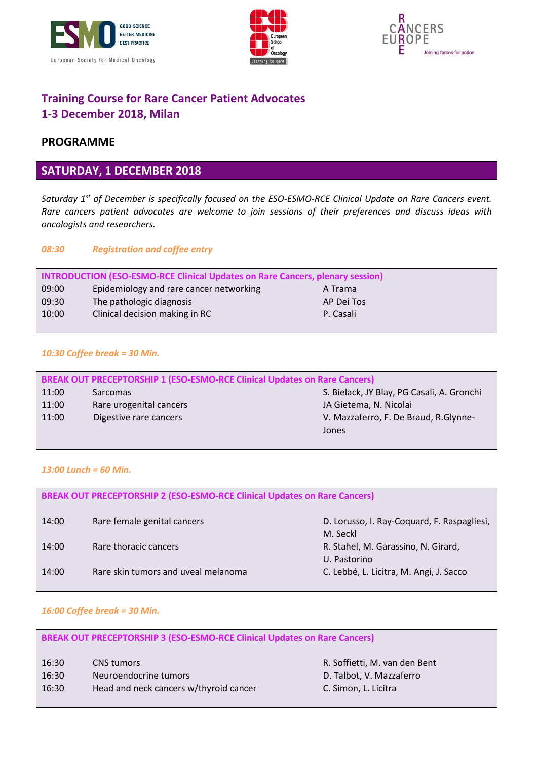





# **Training Course for Rare Cancer Patient Advocates 1-3 December 2018, Milan**

## **PROGRAMME**

### **SATURDAY, 1 DECEMBER 2018**

*Saturday 1st of December is specifically focused on the ESO-ESMO-RCE Clinical Update on Rare Cancers event. Rare cancers patient advocates are welcome to join sessions of their preferences and discuss ideas with oncologists and researchers.*

#### *08:30 Registration and coffee entry*

| INTRODUCTION (ESO-ESMO-RCE Clinical Updates on Rare Cancers, plenary session) |                                         |            |
|-------------------------------------------------------------------------------|-----------------------------------------|------------|
| 09:00                                                                         | Epidemiology and rare cancer networking | A Trama    |
| 09:30                                                                         | The pathologic diagnosis                | AP Dei Tos |
| 10:00                                                                         | Clinical decision making in RC          | P. Casali  |
|                                                                               |                                         |            |

#### *10:30 Coffee break = 30 Min.*

| <b>BREAK OUT PRECEPTORSHIP 1 (ESO-ESMO-RCE Clinical Updates on Rare Cancers)</b> |                         |                                            |  |
|----------------------------------------------------------------------------------|-------------------------|--------------------------------------------|--|
| 11:00                                                                            | Sarcomas                | S. Bielack, JY Blay, PG Casali, A. Gronchi |  |
| 11:00                                                                            | Rare urogenital cancers | JA Gietema, N. Nicolai                     |  |
| 11:00                                                                            | Digestive rare cancers  | V. Mazzaferro, F. De Braud, R. Glynne-     |  |
|                                                                                  |                         | Jones                                      |  |

#### *13:00 Lunch = 60 Min.*

| <b>BREAK OUT PRECEPTORSHIP 2 (ESO-ESMO-RCE Clinical Updates on Rare Cancers)</b> |                                     |                                                         |
|----------------------------------------------------------------------------------|-------------------------------------|---------------------------------------------------------|
| 14:00                                                                            | Rare female genital cancers         | D. Lorusso, I. Ray-Coquard, F. Raspagliesi,<br>M. Seckl |
| 14:00                                                                            | Rare thoracic cancers               | R. Stahel, M. Garassino, N. Girard,<br>U. Pastorino     |
| 14:00                                                                            | Rare skin tumors and uveal melanoma | C. Lebbé, L. Licitra, M. Angi, J. Sacco                 |

#### *16:00 Coffee break = 30 Min.*

| <b>BREAK OUT PRECEPTORSHIP 3 (ESO-ESMO-RCE Clinical Updates on Rare Cancers)</b> |                                        |                               |  |
|----------------------------------------------------------------------------------|----------------------------------------|-------------------------------|--|
| 16:30                                                                            | <b>CNS</b> tumors                      | R. Soffietti, M. van den Bent |  |
| 16:30                                                                            | Neuroendocrine tumors                  | D. Talbot, V. Mazzaferro      |  |
| 16:30                                                                            | Head and neck cancers w/thyroid cancer | C. Simon, L. Licitra          |  |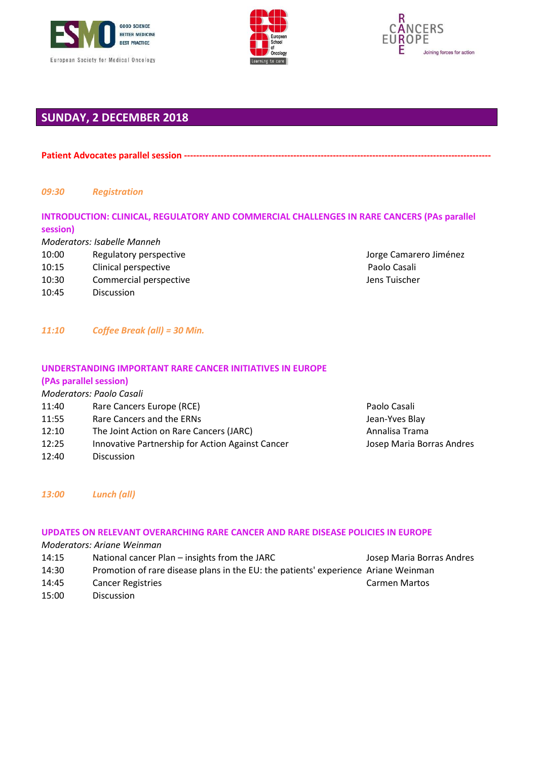





## **SUNDAY, 2 DECEMBER 2018**

Patient Advocates parallel session -----------

#### *09:30 Registration*

### **INTRODUCTION: CLINICAL, REGULATORY AND COMMERCIAL CHALLENGES IN RARE CANCERS (PAs parallel session)**

*Moderators: Isabelle Manneh*

- 10:00 Regulatory perspective **Access 2016** Regulatory perspective Access 10:00 Regulatory perspective
- 10:15 Clinical perspective **Paolo Casali** Paolo Casali
- 10:30 Commercial perspective COMERCIAL SERVICES COMMERCIAL SERVICES OF LISTUISCHER
- 10:45 Discussion

*11:10 Coffee Break (all) = 30 Min.*

### **UNDERSTANDING IMPORTANT RARE CANCER INITIATIVES IN EUROPE**

#### **(PAs parallel session)**

|       | Moderators: Paolo Casali                         |                           |
|-------|--------------------------------------------------|---------------------------|
| 11:40 | Rare Cancers Europe (RCE)                        | Paolo Casali              |
| 11:55 | Rare Cancers and the ERNs                        | Jean-Yves Blay            |
| 12:10 | The Joint Action on Rare Cancers (JARC)          | Annalisa Trama            |
| 12:25 | Innovative Partnership for Action Against Cancer | Josep Maria Borras Andres |
| 12:40 | <b>Discussion</b>                                |                           |

*13:00 Lunch (all)*

#### **UPDATES ON RELEVANT OVERARCHING RARE CANCER AND RARE DISEASE POLICIES IN EUROPE**

*Moderators: Ariane Weinman*

- 14:15 National cancer Plan insights from the JARC Josep Maria Borras Andres 14:30 Promotion of rare disease plans in the EU: the patients' experience Ariane Weinman 14:45 Cancer Registries Carmen Martos
- 15:00 Discussion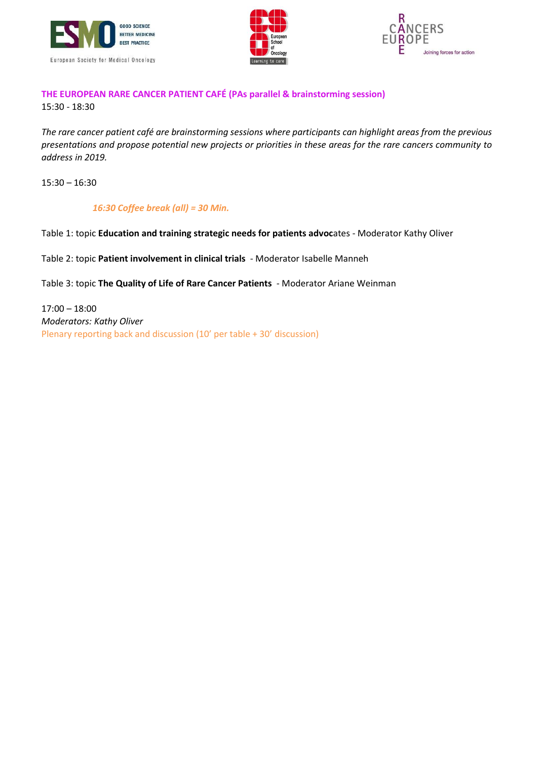





### **THE EUROPEAN RARE CANCER PATIENT CAFÉ (PAs parallel & brainstorming session)** 15:30 - 18:30

*The rare cancer patient café are brainstorming sessions where participants can highlight areas from the previous presentations and propose potential new projects or priorities in these areas for the rare cancers community to address in 2019.*

15:30 – 16:30

*16:30 Coffee break (all) = 30 Min.*

Table 1: topic **Education and training strategic needs for patients advoc**ates - Moderator Kathy Oliver

Table 2: topic **Patient involvement in clinical trials** - Moderator Isabelle Manneh

Table 3: topic **The Quality of Life of Rare Cancer Patients** - Moderator Ariane Weinman

17:00 – 18:00 *Moderators: Kathy Oliver*  Plenary reporting back and discussion (10' per table + 30' discussion)